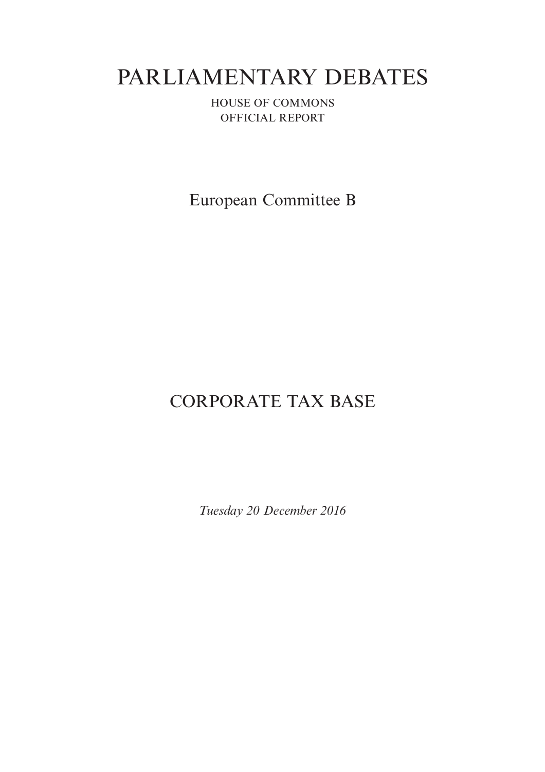# PARLIAMENTARY DEBATES

HOUSE OF COMMONS OFFICIAL REPORT

European Committee B

## CORPORATE TAX BASE

*Tuesday 20 December 2016*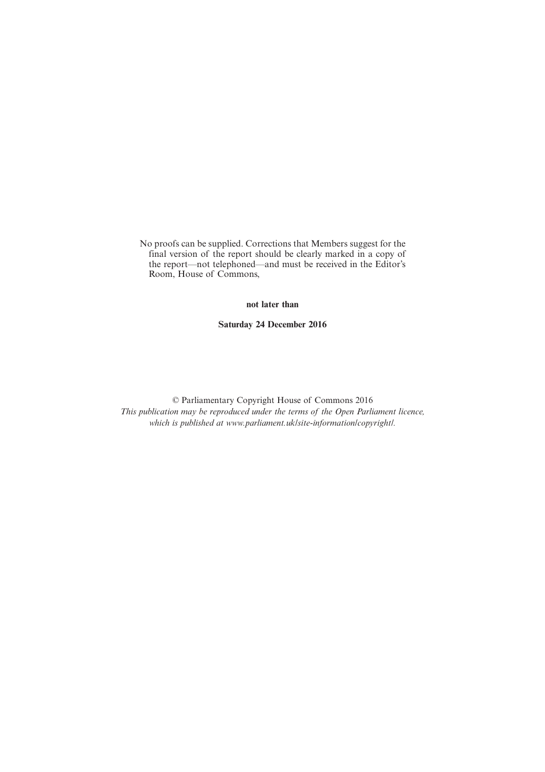No proofs can be supplied. Corrections that Members suggest for the final version of the report should be clearly marked in a copy of the report—not telephoned—and must be received in the Editor's Room, House of Commons,

#### **not later than**

**Saturday 24 December 2016**

© Parliamentary Copyright House of Commons 2016 *This publication may be reproduced under the terms of the Open Parliament licence, which is published at www.parliament.uk/site-information/copyright/.*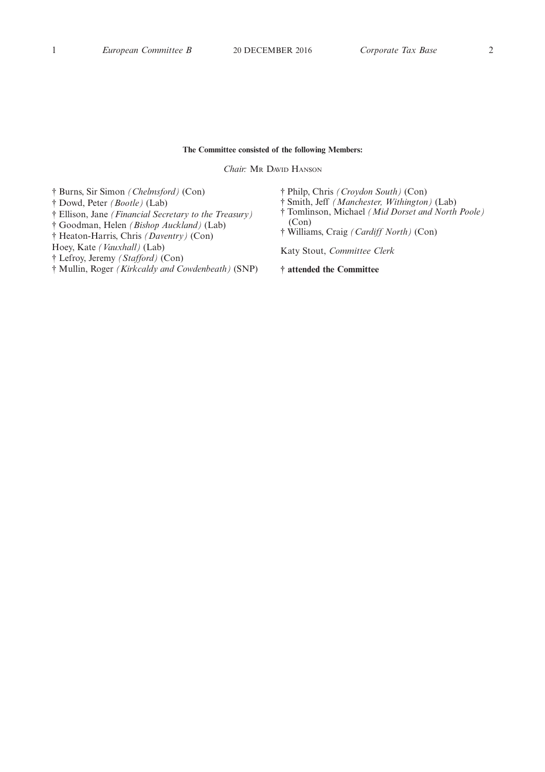#### **The Committee consisted of the following Members:**

*Chair:* M<sup>R</sup> DAVID HANSON

† Burns, Sir Simon *(Chelmsford)* (Con)

† Dowd, Peter *(Bootle)* (Lab)

† Ellison, Jane *(Financial Secretary to the Treasury)*

- † Goodman, Helen *(Bishop Auckland)* (Lab)
- † Heaton-Harris, Chris *(Daventry)* (Con)

Hoey, Kate *(Vauxhall)* (Lab)

- † Lefroy, Jeremy *(Stafford)* (Con)
- † Mullin, Roger *(Kirkcaldy and Cowdenbeath)* (SNP)

† Philp, Chris *(Croydon South)* (Con)

- † Smith, Jeff *(Manchester, Withington)* (Lab)
- † Tomlinson, Michael *(Mid Dorset and North Poole)* (Con)
- † Williams, Craig *(Cardiff North)* (Con)

Katy Stout, *Committee Clerk*

**† attended the Committee**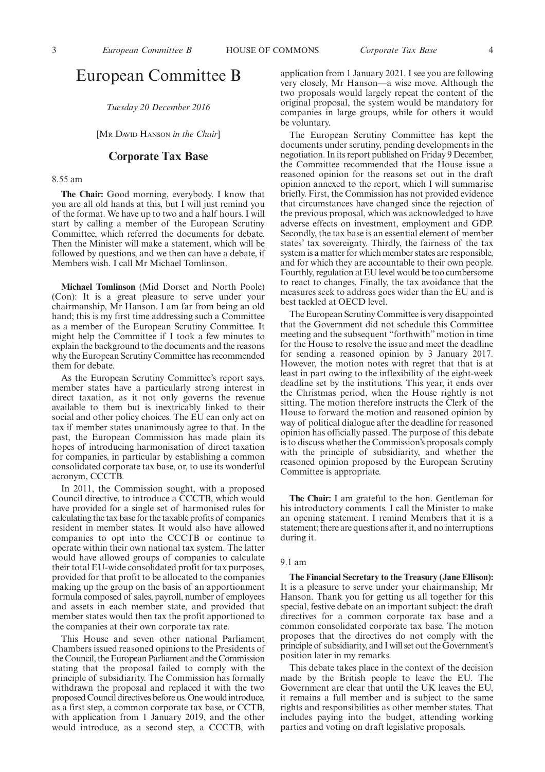### European Committee B

#### *Tuesday 20 December 2016*

[M<sup>R</sup> DAVID HANSON *in the Chair*]

#### **Corporate Tax Base**

#### 8.55 am

**The Chair:** Good morning, everybody. I know that you are all old hands at this, but I will just remind you of the format. We have up to two and a half hours. I will start by calling a member of the European Scrutiny Committee, which referred the documents for debate. Then the Minister will make a statement, which will be followed by questions, and we then can have a debate, if Members wish. I call Mr Michael Tomlinson.

**Michael Tomlinson** (Mid Dorset and North Poole) (Con): It is a great pleasure to serve under your chairmanship, Mr Hanson. I am far from being an old hand; this is my first time addressing such a Committee as a member of the European Scrutiny Committee. It might help the Committee if I took a few minutes to explain the background to the documents and the reasons why the European Scrutiny Committee has recommended them for debate.

As the European Scrutiny Committee's report says, member states have a particularly strong interest in direct taxation, as it not only governs the revenue available to them but is inextricably linked to their social and other policy choices. The EU can only act on tax if member states unanimously agree to that. In the past, the European Commission has made plain its hopes of introducing harmonisation of direct taxation for companies, in particular by establishing a common consolidated corporate tax base, or, to use its wonderful acronym, CCCTB.

In 2011, the Commission sought, with a proposed Council directive, to introduce a CCCTB, which would have provided for a single set of harmonised rules for calculating the tax base for the taxable profits of companies resident in member states. It would also have allowed companies to opt into the CCCTB or continue to operate within their own national tax system. The latter would have allowed groups of companies to calculate their total EU-wide consolidated profit for tax purposes, provided for that profit to be allocated to the companies making up the group on the basis of an apportionment formula composed of sales, payroll, number of employees and assets in each member state, and provided that member states would then tax the profit apportioned to the companies at their own corporate tax rate.

This House and seven other national Parliament Chambers issued reasoned opinions to the Presidents of the Council, the European Parliament and the Commission stating that the proposal failed to comply with the principle of subsidiarity. The Commission has formally withdrawn the proposal and replaced it with the two proposed Council directives before us. One would introduce, as a first step, a common corporate tax base, or CCTB, with application from 1 January 2019, and the other would introduce, as a second step, a CCCTB, with

application from 1 January 2021. I see you are following very closely, Mr Hanson—a wise move. Although the two proposals would largely repeat the content of the original proposal, the system would be mandatory for companies in large groups, while for others it would be voluntary.

The European Scrutiny Committee has kept the documents under scrutiny, pending developments in the negotiation. In its report published on Friday 9 December, the Committee recommended that the House issue a reasoned opinion for the reasons set out in the draft opinion annexed to the report, which I will summarise briefly. First, the Commission has not provided evidence that circumstances have changed since the rejection of the previous proposal, which was acknowledged to have adverse effects on investment, employment and GDP. Secondly, the tax base is an essential element of member states' tax sovereignty. Thirdly, the fairness of the tax system is a matter for which member states are responsible, and for which they are accountable to their own people. Fourthly, regulation at EU level would be too cumbersome to react to changes. Finally, the tax avoidance that the measures seek to address goes wider than the EU and is best tackled at OECD level.

The European Scrutiny Committee is very disappointed that the Government did not schedule this Committee meeting and the subsequent "forthwith" motion in time for the House to resolve the issue and meet the deadline for sending a reasoned opinion by 3 January 2017. However, the motion notes with regret that that is at least in part owing to the inflexibility of the eight-week deadline set by the institutions. This year, it ends over the Christmas period, when the House rightly is not sitting. The motion therefore instructs the Clerk of the House to forward the motion and reasoned opinion by way of political dialogue after the deadline for reasoned opinion has officially passed. The purpose of this debate is to discuss whether the Commission's proposals comply with the principle of subsidiarity, and whether the reasoned opinion proposed by the European Scrutiny Committee is appropriate.

**The Chair:** I am grateful to the hon. Gentleman for his introductory comments. I call the Minister to make an opening statement. I remind Members that it is a statement; there are questions after it, and no interruptions during it.

#### 9.1 am

**The Financial Secretary to the Treasury (Jane Ellison):** It is a pleasure to serve under your chairmanship, Mr Hanson. Thank you for getting us all together for this special, festive debate on an important subject: the draft directives for a common corporate tax base and a common consolidated corporate tax base. The motion proposes that the directives do not comply with the principle of subsidiarity, and I will set out the Government's position later in my remarks.

This debate takes place in the context of the decision made by the British people to leave the EU. The Government are clear that until the UK leaves the EU, it remains a full member and is subject to the same rights and responsibilities as other member states. That includes paying into the budget, attending working parties and voting on draft legislative proposals.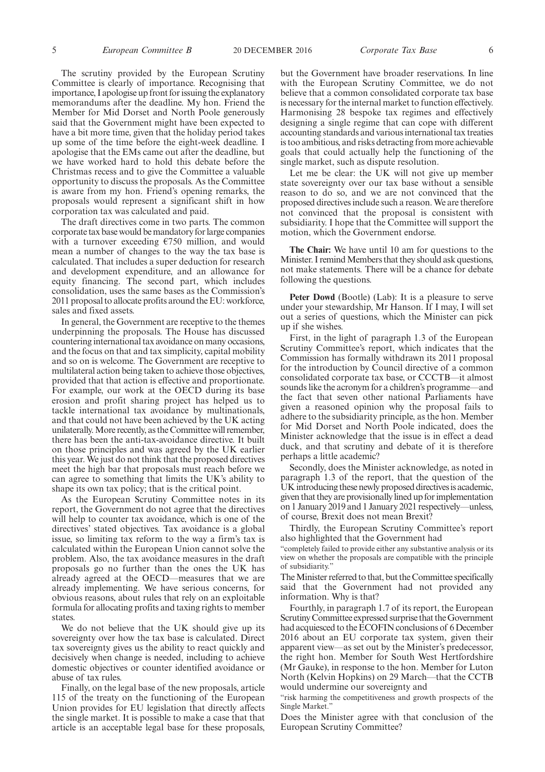The scrutiny provided by the European Scrutiny Committee is clearly of importance. Recognising that importance, I apologise up front for issuing the explanatory memorandums after the deadline. My hon. Friend the Member for Mid Dorset and North Poole generously said that the Government might have been expected to have a bit more time, given that the holiday period takes up some of the time before the eight-week deadline. I apologise that the EMs came out after the deadline, but we have worked hard to hold this debate before the Christmas recess and to give the Committee a valuable opportunity to discuss the proposals. As the Committee is aware from my hon. Friend's opening remarks, the proposals would represent a significant shift in how corporation tax was calculated and paid.

The draft directives come in two parts. The common corporate tax base would be mandatory for large companies with a turnover exceeding  $\epsilon$ 750 million, and would mean a number of changes to the way the tax base is calculated. That includes a super deduction for research and development expenditure, and an allowance for equity financing. The second part, which includes consolidation, uses the same bases as the Commission's 2011 proposal to allocate profits around the EU: workforce, sales and fixed assets.

In general, the Government are receptive to the themes underpinning the proposals. The House has discussed countering international tax avoidance on many occasions, and the focus on that and tax simplicity, capital mobility and so on is welcome. The Government are receptive to multilateral action being taken to achieve those objectives, provided that that action is effective and proportionate. For example, our work at the OECD during its base erosion and profit sharing project has helped us to tackle international tax avoidance by multinationals, and that could not have been achieved by the UK acting unilaterally. More recently, as the Committee will remember, there has been the anti-tax-avoidance directive. It built on those principles and was agreed by the UK earlier this year. We just do not think that the proposed directives meet the high bar that proposals must reach before we can agree to something that limits the UK's ability to shape its own tax policy; that is the critical point.

As the European Scrutiny Committee notes in its report, the Government do not agree that the directives will help to counter tax avoidance, which is one of the directives' stated objectives. Tax avoidance is a global issue, so limiting tax reform to the way a firm's tax is calculated within the European Union cannot solve the problem. Also, the tax avoidance measures in the draft proposals go no further than the ones the UK has already agreed at the OECD—measures that we are already implementing. We have serious concerns, for obvious reasons, about rules that rely on an exploitable formula for allocating profits and taxing rights to member states.

We do not believe that the UK should give up its sovereignty over how the tax base is calculated. Direct tax sovereignty gives us the ability to react quickly and decisively when change is needed, including to achieve domestic objectives or counter identified avoidance or abuse of tax rules.

Finally, on the legal base of the new proposals, article 115 of the treaty on the functioning of the European Union provides for EU legislation that directly affects the single market. It is possible to make a case that that article is an acceptable legal base for these proposals,

but the Government have broader reservations. In line with the European Scrutiny Committee, we do not believe that a common consolidated corporate tax base is necessary for the internal market to function effectively. Harmonising 28 bespoke tax regimes and effectively designing a single regime that can cope with different accounting standards and various international tax treaties is too ambitious, and risks detracting from more achievable goals that could actually help the functioning of the single market, such as dispute resolution.

Let me be clear: the UK will not give up member state sovereignty over our tax base without a sensible reason to do so, and we are not convinced that the proposed directives include such a reason. We are therefore not convinced that the proposal is consistent with subsidiarity. I hope that the Committee will support the motion, which the Government endorse.

**The Chair:** We have until 10 am for questions to the Minister. I remind Members that they should ask questions, not make statements. There will be a chance for debate following the questions.

Peter Dowd (Bootle) (Lab): It is a pleasure to serve under your stewardship, Mr Hanson. If I may, I will set out a series of questions, which the Minister can pick up if she wishes.

First, in the light of paragraph 1.3 of the European Scrutiny Committee's report, which indicates that the Commission has formally withdrawn its 2011 proposal for the introduction by Council directive of a common consolidated corporate tax base, or CCCTB—it almost sounds like the acronym for a children's programme—and the fact that seven other national Parliaments have given a reasoned opinion why the proposal fails to adhere to the subsidiarity principle, as the hon. Member for Mid Dorset and North Poole indicated, does the Minister acknowledge that the issue is in effect a dead duck, and that scrutiny and debate of it is therefore perhaps a little academic?

Secondly, does the Minister acknowledge, as noted in paragraph 1.3 of the report, that the question of the UK introducing these newly proposed directives is academic, given that they are provisionally lined up for implementation on 1 January 2019 and 1 January 2021 respectively—unless, of course, Brexit does not mean Brexit?

Thirdly, the European Scrutiny Committee's report also highlighted that the Government had

"completely failed to provide either any substantive analysis or its view on whether the proposals are compatible with the principle of subsidiarity."

The Minister referred to that, but the Committee specifically said that the Government had not provided any information. Why is that?

Fourthly, in paragraph 1.7 of its report, the European Scrutiny Committee expressed surprise that the Government had acquiesced to the ECOFIN conclusions of 6 December 2016 about an EU corporate tax system, given their apparent view—as set out by the Minister's predecessor, the right hon. Member for South West Hertfordshire (Mr Gauke), in response to the hon. Member for Luton North (Kelvin Hopkins) on 29 March—that the CCTB would undermine our sovereignty and

"risk harming the competitiveness and growth prospects of the Single Market."

Does the Minister agree with that conclusion of the European Scrutiny Committee?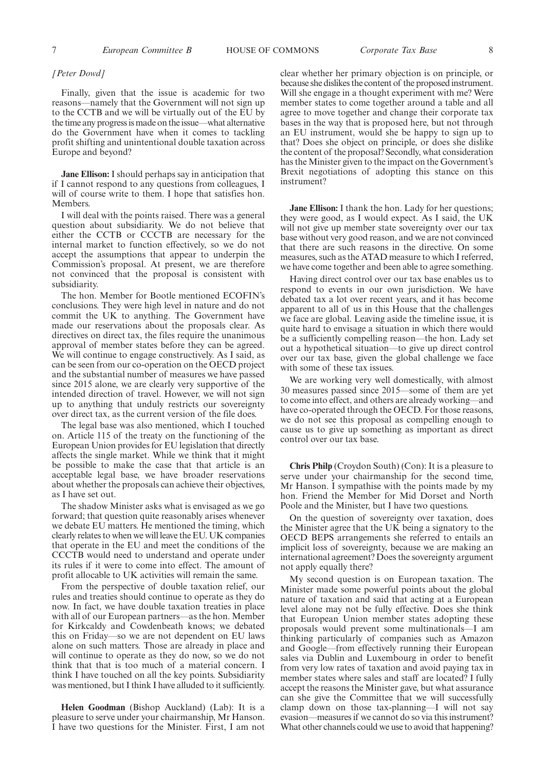7 *European Committee B* HOUSE OF COMMONS *Corporate Tax Base* 8

#### *[Peter Dowd]*

Finally, given that the issue is academic for two reasons—namely that the Government will not sign up to the CCTB and we will be virtually out of the EU by the time any progress is made on the issue—what alternative do the Government have when it comes to tackling profit shifting and unintentional double taxation across Europe and beyond?

**Jane Ellison:** I should perhaps say in anticipation that if I cannot respond to any questions from colleagues, I will of course write to them. I hope that satisfies hon. Members.

I will deal with the points raised. There was a general question about subsidiarity. We do not believe that either the CCTB or CCCTB are necessary for the internal market to function effectively, so we do not accept the assumptions that appear to underpin the Commission's proposal. At present, we are therefore not convinced that the proposal is consistent with subsidiarity.

The hon. Member for Bootle mentioned ECOFIN's conclusions. They were high level in nature and do not commit the UK to anything. The Government have made our reservations about the proposals clear. As directives on direct tax, the files require the unanimous approval of member states before they can be agreed. We will continue to engage constructively. As I said, as can be seen from our co-operation on the OECD project and the substantial number of measures we have passed since 2015 alone, we are clearly very supportive of the intended direction of travel. However, we will not sign up to anything that unduly restricts our sovereignty over direct tax, as the current version of the file does.

The legal base was also mentioned, which I touched on. Article 115 of the treaty on the functioning of the European Union provides for EU legislation that directly affects the single market. While we think that it might be possible to make the case that that article is an acceptable legal base, we have broader reservations about whether the proposals can achieve their objectives, as I have set out.

The shadow Minister asks what is envisaged as we go forward; that question quite reasonably arises whenever we debate EU matters. He mentioned the timing, which clearly relates to when we will leave the EU. UK companies that operate in the EU and meet the conditions of the CCCTB would need to understand and operate under its rules if it were to come into effect. The amount of profit allocable to UK activities will remain the same.

From the perspective of double taxation relief, our rules and treaties should continue to operate as they do now. In fact, we have double taxation treaties in place with all of our European partners—as the hon. Member for Kirkcaldy and Cowdenbeath knows; we debated this on Friday—so we are not dependent on EU laws alone on such matters. Those are already in place and will continue to operate as they do now, so we do not think that that is too much of a material concern. I think I have touched on all the key points. Subsidiarity was mentioned, but I think I have alluded to it sufficiently.

**Helen Goodman** (Bishop Auckland) (Lab): It is a pleasure to serve under your chairmanship, Mr Hanson. I have two questions for the Minister. First, I am not clear whether her primary objection is on principle, or because she dislikes the content of the proposed instrument. Will she engage in a thought experiment with me? Were member states to come together around a table and all agree to move together and change their corporate tax bases in the way that is proposed here, but not through an EU instrument, would she be happy to sign up to that? Does she object on principle, or does she dislike the content of the proposal? Secondly, what consideration has the Minister given to the impact on the Government's Brexit negotiations of adopting this stance on this instrument?

**Jane Ellison:** I thank the hon. Lady for her questions; they were good, as I would expect. As I said, the UK will not give up member state sovereignty over our tax base without very good reason, and we are not convinced that there are such reasons in the directive. On some measures, such as the ATAD measure to which I referred, we have come together and been able to agree something.

Having direct control over our tax base enables us to respond to events in our own jurisdiction. We have debated tax a lot over recent years, and it has become apparent to all of us in this House that the challenges we face are global. Leaving aside the timeline issue, it is quite hard to envisage a situation in which there would be a sufficiently compelling reason—the hon. Lady set out a hypothetical situation—to give up direct control over our tax base, given the global challenge we face with some of these tax issues.

We are working very well domestically, with almost 30 measures passed since 2015—some of them are yet to come into effect, and others are already working—and have co-operated through the OECD. For those reasons, we do not see this proposal as compelling enough to cause us to give up something as important as direct control over our tax base.

**Chris Philp** (Croydon South) (Con): It is a pleasure to serve under your chairmanship for the second time, Mr Hanson. I sympathise with the points made by my hon. Friend the Member for Mid Dorset and North Poole and the Minister, but I have two questions.

On the question of sovereignty over taxation, does the Minister agree that the UK being a signatory to the OECD BEPS arrangements she referred to entails an implicit loss of sovereignty, because we are making an international agreement? Does the sovereignty argument not apply equally there?

My second question is on European taxation. The Minister made some powerful points about the global nature of taxation and said that acting at a European level alone may not be fully effective. Does she think that European Union member states adopting these proposals would prevent some multinationals—I am thinking particularly of companies such as Amazon and Google—from effectively running their European sales via Dublin and Luxembourg in order to benefit from very low rates of taxation and avoid paying tax in member states where sales and staff are located? I fully accept the reasons the Minister gave, but what assurance can she give the Committee that we will successfully clamp down on those tax-planning—I will not say evasion—measures if we cannot do so via this instrument? What other channels could we use to avoid that happening?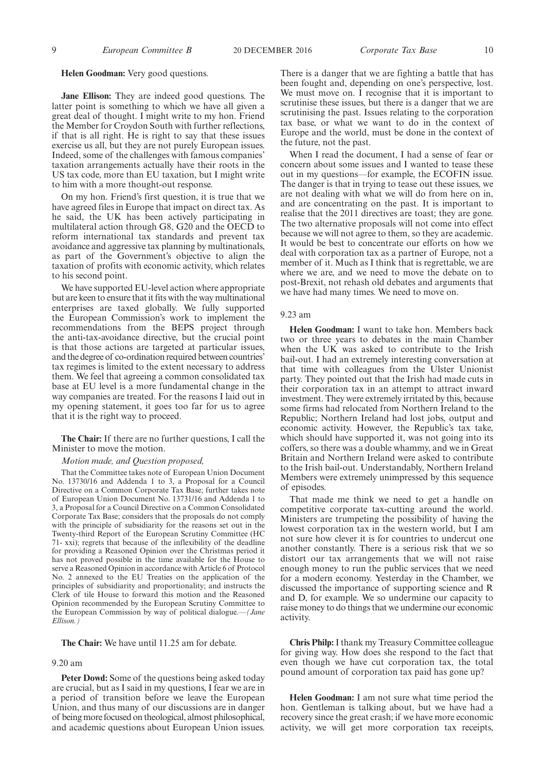#### **Helen Goodman:** Very good questions.

**Jane Ellison:** They are indeed good questions. The latter point is something to which we have all given a great deal of thought. I might write to my hon. Friend the Member for Croydon South with further reflections, if that is all right. He is right to say that these issues exercise us all, but they are not purely European issues. Indeed, some of the challenges with famous companies' taxation arrangements actually have their roots in the US tax code, more than EU taxation, but I might write to him with a more thought-out response.

On my hon. Friend's first question, it is true that we have agreed files in Europe that impact on direct tax. As he said, the UK has been actively participating in multilateral action through G8, G20 and the OECD to reform international tax standards and prevent tax avoidance and aggressive tax planning by multinationals, as part of the Government's objective to align the taxation of profits with economic activity, which relates to his second point.

We have supported EU-level action where appropriate but are keen to ensure that it fits with the way multinational enterprises are taxed globally. We fully supported the European Commission's work to implement the recommendations from the BEPS project through the anti-tax-avoidance directive, but the crucial point is that those actions are targeted at particular issues, and the degree of co-ordination required between countries' tax regimes is limited to the extent necessary to address them. We feel that agreeing a common consolidated tax base at EU level is a more fundamental change in the way companies are treated. For the reasons I laid out in my opening statement, it goes too far for us to agree that it is the right way to proceed.

#### **The Chair:** If there are no further questions, I call the Minister to move the motion.

#### *Motion made, and Question proposed,*

That the Committee takes note of European Union Document No. 13730/16 and Addenda 1 to 3, a Proposal for a Council Directive on a Common Corporate Tax Base; further takes note of European Union Document No. 13731/16 and Addenda 1 to 3, a Proposal for a Council Directive on a Common Consolidated Corporate Tax Base; considers that the proposals do not comply with the principle of subsidiarity for the reasons set out in the Twenty-third Report of the European Scrutiny Committee (HC 71- xxi); regrets that because of the inflexibility of the deadline for providing a Reasoned Opinion over the Christmas period it has not proved possible in the time available for the House to serve a Reasoned Opinion in accordance with Article 6 of Protocol No. 2 annexed to the EU Treaties on the application of the principles of subsidiarity and proportionality; and instructs the Clerk of tile House to forward this motion and the Reasoned Opinion recommended by the European Scrutiny Committee to the European Commission by way of political dialogue.—*(Jane Ellison.)*

**The Chair:** We have until 11.25 am for debate.

#### 9.20 am

**Peter Dowd:** Some of the questions being asked today are crucial, but as I said in my questions, I fear we are in a period of transition before we leave the European Union, and thus many of our discussions are in danger of being more focused on theological, almost philosophical, and academic questions about European Union issues.

There is a danger that we are fighting a battle that has been fought and, depending on one's perspective, lost. We must move on. I recognise that it is important to scrutinise these issues, but there is a danger that we are scrutinising the past. Issues relating to the corporation tax base, or what we want to do in the context of Europe and the world, must be done in the context of the future, not the past.

When I read the document, I had a sense of fear or concern about some issues and I wanted to tease these out in my questions—for example, the ECOFIN issue. The danger is that in trying to tease out these issues, we are not dealing with what we will do from here on in, and are concentrating on the past. It is important to realise that the 2011 directives are toast; they are gone. The two alternative proposals will not come into effect because we will not agree to them, so they are academic. It would be best to concentrate our efforts on how we deal with corporation tax as a partner of Europe, not a member of it. Much as I think that is regrettable, we are where we are, and we need to move the debate on to post-Brexit, not rehash old debates and arguments that we have had many times. We need to move on.

#### 9.23 am

**Helen Goodman:** I want to take hon. Members back two or three years to debates in the main Chamber when the UK was asked to contribute to the Irish bail-out. I had an extremely interesting conversation at that time with colleagues from the Ulster Unionist party. They pointed out that the Irish had made cuts in their corporation tax in an attempt to attract inward investment. They were extremely irritated by this, because some firms had relocated from Northern Ireland to the Republic; Northern Ireland had lost jobs, output and economic activity. However, the Republic's tax take, which should have supported it, was not going into its coffers, so there was a double whammy, and we in Great Britain and Northern Ireland were asked to contribute to the Irish bail-out. Understandably, Northern Ireland Members were extremely unimpressed by this sequence of episodes.

That made me think we need to get a handle on competitive corporate tax-cutting around the world. Ministers are trumpeting the possibility of having the lowest corporation tax in the western world, but I am not sure how clever it is for countries to undercut one another constantly. There is a serious risk that we so distort our tax arrangements that we will not raise enough money to run the public services that we need for a modern economy. Yesterday in the Chamber, we discussed the importance of supporting science and R and D, for example. We so undermine our capacity to raise money to do things that we undermine our economic activity.

**Chris Philp:**I thank my Treasury Committee colleague for giving way. How does she respond to the fact that even though we have cut corporation tax, the total pound amount of corporation tax paid has gone up?

**Helen Goodman:** I am not sure what time period the hon. Gentleman is talking about, but we have had a recovery since the great crash; if we have more economic activity, we will get more corporation tax receipts,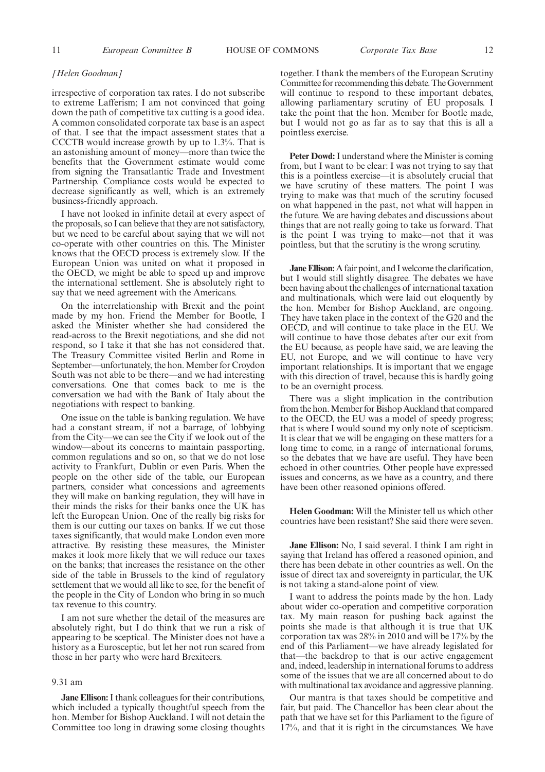#### *[Helen Goodman]*

irrespective of corporation tax rates. I do not subscribe to extreme Lafferism; I am not convinced that going down the path of competitive tax cutting is a good idea. A common consolidated corporate tax base is an aspect of that. I see that the impact assessment states that a CCCTB would increase growth by up to 1.3%. That is an astonishing amount of money—more than twice the benefits that the Government estimate would come from signing the Transatlantic Trade and Investment Partnership. Compliance costs would be expected to decrease significantly as well, which is an extremely business-friendly approach.

I have not looked in infinite detail at every aspect of the proposals, so I can believe that they are not satisfactory, but we need to be careful about saying that we will not co-operate with other countries on this. The Minister knows that the OECD process is extremely slow. If the European Union was united on what it proposed in the OECD, we might be able to speed up and improve the international settlement. She is absolutely right to say that we need agreement with the Americans.

On the interrelationship with Brexit and the point made by my hon. Friend the Member for Bootle, I asked the Minister whether she had considered the read-across to the Brexit negotiations, and she did not respond, so I take it that she has not considered that. The Treasury Committee visited Berlin and Rome in September—unfortunately, the hon. Member for Croydon South was not able to be there—and we had interesting conversations. One that comes back to me is the conversation we had with the Bank of Italy about the negotiations with respect to banking.

One issue on the table is banking regulation. We have had a constant stream, if not a barrage, of lobbying from the City—we can see the City if we look out of the window—about its concerns to maintain passporting, common regulations and so on, so that we do not lose activity to Frankfurt, Dublin or even Paris. When the people on the other side of the table, our European partners, consider what concessions and agreements they will make on banking regulation, they will have in their minds the risks for their banks once the UK has left the European Union. One of the really big risks for them is our cutting our taxes on banks. If we cut those taxes significantly, that would make London even more attractive. By resisting these measures, the Minister makes it look more likely that we will reduce our taxes on the banks; that increases the resistance on the other side of the table in Brussels to the kind of regulatory settlement that we would all like to see, for the benefit of the people in the City of London who bring in so much tax revenue to this country.

I am not sure whether the detail of the measures are absolutely right, but I do think that we run a risk of appearing to be sceptical. The Minister does not have a history as a Eurosceptic, but let her not run scared from those in her party who were hard Brexiteers.

#### 9.31 am

**Jane Ellison:**I thank colleagues for their contributions, which included a typically thoughtful speech from the hon. Member for Bishop Auckland. I will not detain the Committee too long in drawing some closing thoughts together. I thank the members of the European Scrutiny Committee for recommending this debate. The Government will continue to respond to these important debates, allowing parliamentary scrutiny of EU proposals. I take the point that the hon. Member for Bootle made, but I would not go as far as to say that this is all a pointless exercise.

**Peter Dowd:**I understand where the Minister is coming from, but I want to be clear: I was not trying to say that this is a pointless exercise—it is absolutely crucial that we have scrutiny of these matters. The point I was trying to make was that much of the scrutiny focused on what happened in the past, not what will happen in the future. We are having debates and discussions about things that are not really going to take us forward. That is the point I was trying to make—not that it was pointless, but that the scrutiny is the wrong scrutiny.

**Jane Ellison:**A fair point, and I welcome the clarification, but I would still slightly disagree. The debates we have been having about the challenges of international taxation and multinationals, which were laid out eloquently by the hon. Member for Bishop Auckland, are ongoing. They have taken place in the context of the G20 and the OECD, and will continue to take place in the EU. We will continue to have those debates after our exit from the EU because, as people have said, we are leaving the EU, not Europe, and we will continue to have very important relationships. It is important that we engage with this direction of travel, because this is hardly going to be an overnight process.

There was a slight implication in the contribution from the hon. Member for Bishop Auckland that compared to the OECD, the EU was a model of speedy progress; that is where I would sound my only note of scepticism. It is clear that we will be engaging on these matters for a long time to come, in a range of international forums, so the debates that we have are useful. They have been echoed in other countries. Other people have expressed issues and concerns, as we have as a country, and there have been other reasoned opinions offered.

**Helen Goodman:** Will the Minister tell us which other countries have been resistant? She said there were seven.

**Jane Ellison:** No, I said several. I think I am right in saying that Ireland has offered a reasoned opinion, and there has been debate in other countries as well. On the issue of direct tax and sovereignty in particular, the UK is not taking a stand-alone point of view.

I want to address the points made by the hon. Lady about wider co-operation and competitive corporation tax. My main reason for pushing back against the points she made is that although it is true that UK corporation tax was 28% in 2010 and will be 17% by the end of this Parliament—we have already legislated for that—the backdrop to that is our active engagement and, indeed, leadership in international forums to address some of the issues that we are all concerned about to do with multinational tax avoidance and aggressive planning.

Our mantra is that taxes should be competitive and fair, but paid. The Chancellor has been clear about the path that we have set for this Parliament to the figure of 17%, and that it is right in the circumstances. We have